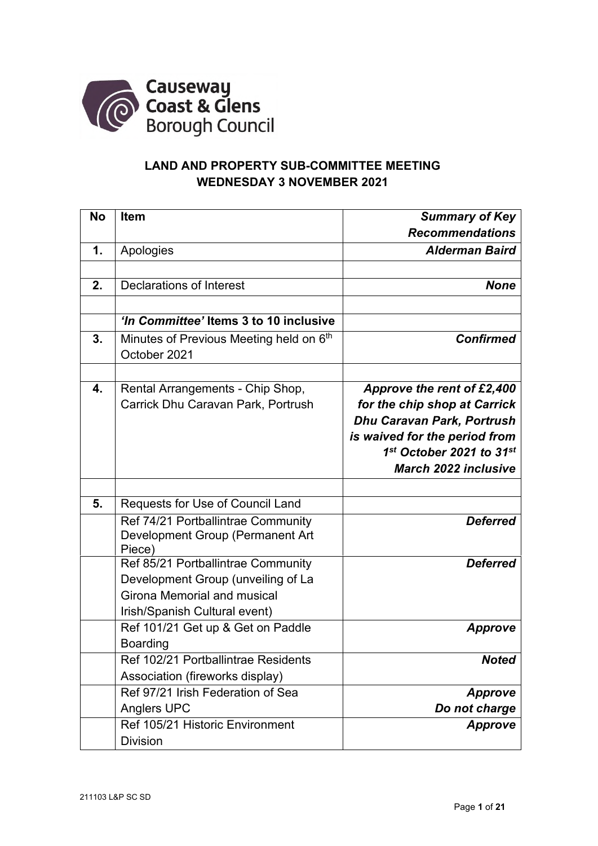

## **LAND AND PROPERTY SUB-COMMITTEE MEETING WEDNESDAY 3 NOVEMBER 2021**

| <b>No</b> | <b>Item</b>                             | <b>Summary of Key</b>             |
|-----------|-----------------------------------------|-----------------------------------|
|           |                                         | <b>Recommendations</b>            |
| 1.        | Apologies                               | <b>Alderman Baird</b>             |
|           |                                         |                                   |
| 2.        | <b>Declarations of Interest</b>         | <b>None</b>                       |
|           |                                         |                                   |
|           | 'In Committee' Items 3 to 10 inclusive  |                                   |
| 3.        | Minutes of Previous Meeting held on 6th | <b>Confirmed</b>                  |
|           | October 2021                            |                                   |
|           |                                         |                                   |
| 4.        | Rental Arrangements - Chip Shop,        | Approve the rent of £2,400        |
|           | Carrick Dhu Caravan Park, Portrush      | for the chip shop at Carrick      |
|           |                                         | <b>Dhu Caravan Park, Portrush</b> |
|           |                                         | is waived for the period from     |
|           |                                         | 1st October 2021 to 31st          |
|           |                                         | <b>March 2022 inclusive</b>       |
|           |                                         |                                   |
| 5.        | Requests for Use of Council Land        |                                   |
|           | Ref 74/21 Portballintrae Community      | <b>Deferred</b>                   |
|           | Development Group (Permanent Art        |                                   |
|           | Piece)                                  |                                   |
|           | Ref 85/21 Portballintrae Community      | <b>Deferred</b>                   |
|           | Development Group (unveiling of La      |                                   |
|           | Girona Memorial and musical             |                                   |
|           | Irish/Spanish Cultural event)           |                                   |
|           | Ref 101/21 Get up & Get on Paddle       | <b>Approve</b>                    |
|           | <b>Boarding</b>                         |                                   |
|           | Ref 102/21 Portballintrae Residents     | <b>Noted</b>                      |
|           | Association (fireworks display)         |                                   |
|           | Ref 97/21 Irish Federation of Sea       | <b>Approve</b>                    |
|           | <b>Anglers UPC</b>                      | Do not charge                     |
|           | Ref 105/21 Historic Environment         | <b>Approve</b>                    |
|           | <b>Division</b>                         |                                   |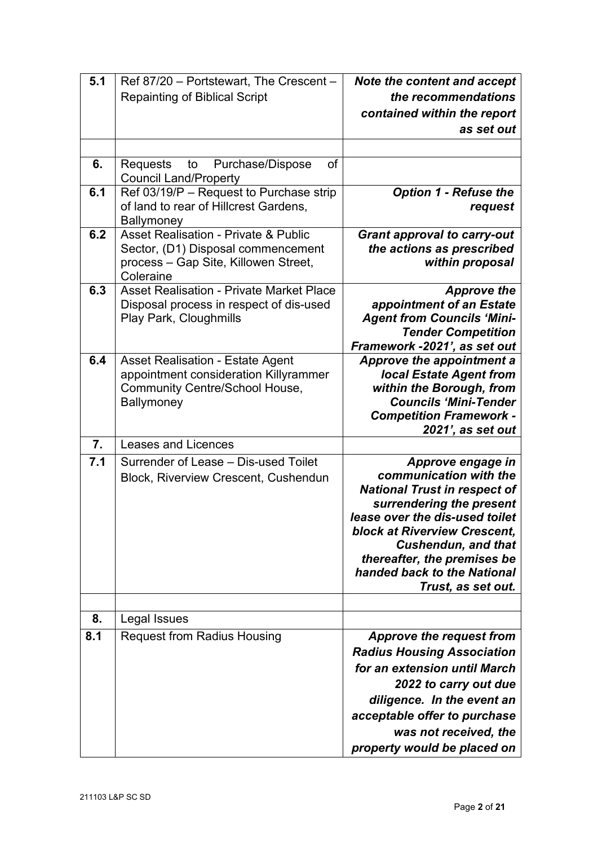| 5.1 | Ref 87/20 - Portstewart, The Crescent -                                                                                                    | Note the content and accept                                                                                                                                                                                                                                                                        |
|-----|--------------------------------------------------------------------------------------------------------------------------------------------|----------------------------------------------------------------------------------------------------------------------------------------------------------------------------------------------------------------------------------------------------------------------------------------------------|
|     | <b>Repainting of Biblical Script</b>                                                                                                       | the recommendations                                                                                                                                                                                                                                                                                |
|     |                                                                                                                                            | contained within the report                                                                                                                                                                                                                                                                        |
|     |                                                                                                                                            | as set out                                                                                                                                                                                                                                                                                         |
|     |                                                                                                                                            |                                                                                                                                                                                                                                                                                                    |
| 6.  | Purchase/Dispose<br>of<br><b>Requests</b><br>to<br><b>Council Land/Property</b>                                                            |                                                                                                                                                                                                                                                                                                    |
| 6.1 | Ref 03/19/P - Request to Purchase strip<br>of land to rear of Hillcrest Gardens,<br>Ballymoney                                             | <b>Option 1 - Refuse the</b><br>request                                                                                                                                                                                                                                                            |
| 6.2 | <b>Asset Realisation - Private &amp; Public</b><br>Sector, (D1) Disposal commencement<br>process - Gap Site, Killowen Street,<br>Coleraine | <b>Grant approval to carry-out</b><br>the actions as prescribed<br>within proposal                                                                                                                                                                                                                 |
| 6.3 | <b>Asset Realisation - Private Market Place</b><br>Disposal process in respect of dis-used<br>Play Park, Cloughmills                       | <b>Approve the</b><br>appointment of an Estate<br><b>Agent from Councils 'Mini-</b><br><b>Tender Competition</b><br>Framework -2021', as set out                                                                                                                                                   |
| 6.4 | <b>Asset Realisation - Estate Agent</b><br>appointment consideration Killyrammer<br><b>Community Centre/School House,</b><br>Ballymoney    | Approve the appointment a<br><b>local Estate Agent from</b><br>within the Borough, from<br><b>Councils 'Mini-Tender</b><br><b>Competition Framework -</b><br>2021', as set out                                                                                                                     |
| 7.  | <b>Leases and Licences</b>                                                                                                                 |                                                                                                                                                                                                                                                                                                    |
| 7.1 | Surrender of Lease - Dis-used Toilet<br><b>Block, Riverview Crescent, Cushendun</b>                                                        | Approve engage in<br>communication with the<br><b>National Trust in respect of</b><br>surrendering the present<br>lease over the dis-used toilet<br>block at Riverview Crescent,<br><b>Cushendun, and that</b><br>thereafter, the premises be<br>handed back to the National<br>Trust, as set out. |
| 8.  | Legal Issues                                                                                                                               |                                                                                                                                                                                                                                                                                                    |
| 8.1 | <b>Request from Radius Housing</b>                                                                                                         | Approve the request from                                                                                                                                                                                                                                                                           |
|     |                                                                                                                                            | <b>Radius Housing Association</b><br>for an extension until March<br>2022 to carry out due<br>diligence. In the event an<br>acceptable offer to purchase<br>was not received, the<br>property would be placed on                                                                                   |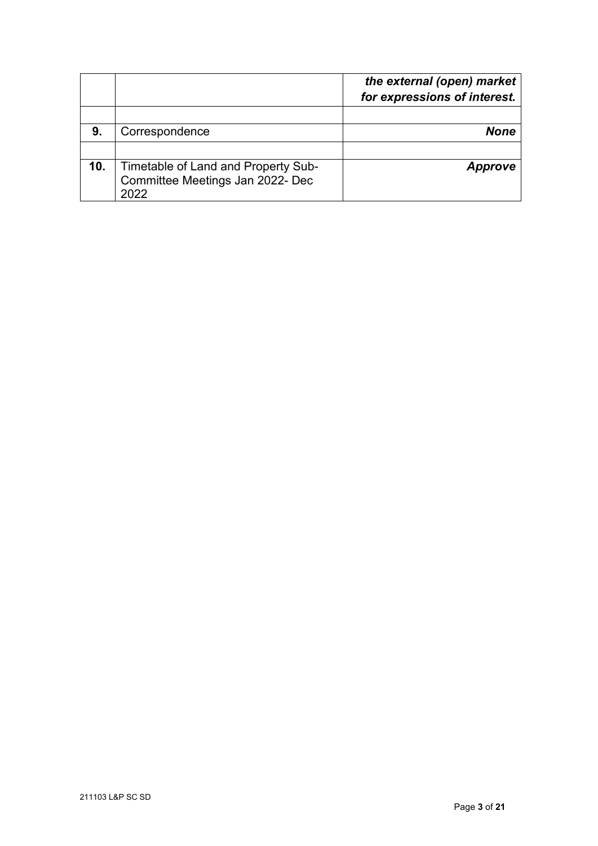|     |                                                                                 | the external (open) market<br>for expressions of interest. |
|-----|---------------------------------------------------------------------------------|------------------------------------------------------------|
|     |                                                                                 |                                                            |
| 9.  | Correspondence                                                                  | None                                                       |
|     |                                                                                 |                                                            |
| 10. | Timetable of Land and Property Sub-<br>Committee Meetings Jan 2022- Dec<br>2022 | Approve                                                    |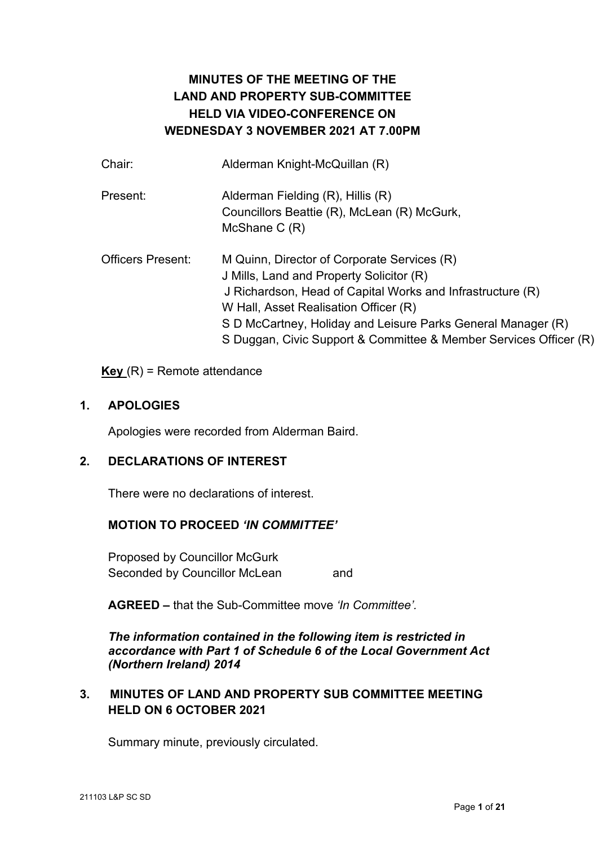# **MINUTES OF THE MEETING OF THE LAND AND PROPERTY SUB-COMMITTEE HELD VIA VIDEO-CONFERENCE ON WEDNESDAY 3 NOVEMBER 2021 AT 7.00PM**

| Chair:                   | Alderman Knight-McQuillan (R)                                     |
|--------------------------|-------------------------------------------------------------------|
| Present:                 | Alderman Fielding (R), Hillis (R)                                 |
|                          | Councillors Beattie (R), McLean (R) McGurk,                       |
|                          | McShane $C(R)$                                                    |
| <b>Officers Present:</b> | M Quinn, Director of Corporate Services (R)                       |
|                          | J Mills, Land and Property Solicitor (R)                          |
|                          | J Richardson, Head of Capital Works and Infrastructure (R)        |
|                          | W Hall, Asset Realisation Officer (R)                             |
|                          | S D McCartney, Holiday and Leisure Parks General Manager (R)      |
|                          | S Duggan, Civic Support & Committee & Member Services Officer (R) |
|                          |                                                                   |

## **Key** (R) = Remote attendance

#### **1. APOLOGIES**

Apologies were recorded from Alderman Baird.

## **2. DECLARATIONS OF INTEREST**

There were no declarations of interest.

## **MOTION TO PROCEED** *'IN COMMITTEE'*

Proposed by Councillor McGurk Seconded by Councillor McLean and

**AGREED –** that the Sub-Committee move *'In Committee'.*

*The information contained in the following item is restricted in accordance with Part 1 of Schedule 6 of the Local Government Act (Northern Ireland) 2014* 

## **3. MINUTES OF LAND AND PROPERTY SUB COMMITTEE MEETING HELD ON 6 OCTOBER 2021**

Summary minute, previously circulated.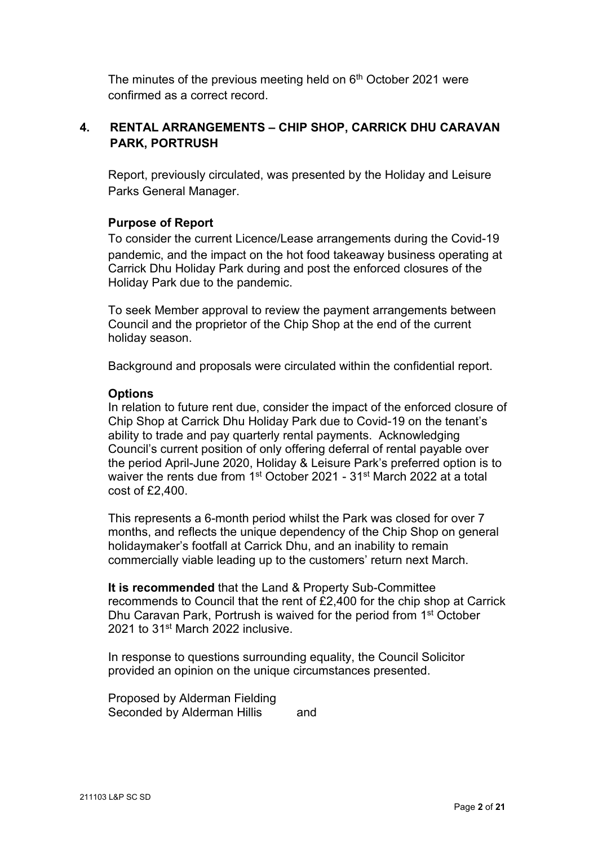The minutes of the previous meeting held on 6<sup>th</sup> October 2021 were confirmed as a correct record.

## **4. RENTAL ARRANGEMENTS – CHIP SHOP, CARRICK DHU CARAVAN PARK, PORTRUSH**

Report, previously circulated, was presented by the Holiday and Leisure Parks General Manager.

## **Purpose of Report**

To consider the current Licence/Lease arrangements during the Covid-19 pandemic, and the impact on the hot food takeaway business operating at Carrick Dhu Holiday Park during and post the enforced closures of the Holiday Park due to the pandemic.

To seek Member approval to review the payment arrangements between Council and the proprietor of the Chip Shop at the end of the current holiday season.

Background and proposals were circulated within the confidential report.

#### **Options**

In relation to future rent due, consider the impact of the enforced closure of Chip Shop at Carrick Dhu Holiday Park due to Covid-19 on the tenant's ability to trade and pay quarterly rental payments. Acknowledging Council's current position of only offering deferral of rental payable over the period April-June 2020, Holiday & Leisure Park's preferred option is to waiver the rents due from 1<sup>st</sup> October 2021 - 31<sup>st</sup> March 2022 at a total cost of £2,400.

This represents a 6-month period whilst the Park was closed for over 7 months, and reflects the unique dependency of the Chip Shop on general holidaymaker's footfall at Carrick Dhu, and an inability to remain commercially viable leading up to the customers' return next March.

**It is recommended** that the Land & Property Sub-Committee recommends to Council that the rent of £2,400 for the chip shop at Carrick Dhu Caravan Park, Portrush is waived for the period from 1st October 2021 to 31<sup>st</sup> March 2022 inclusive.

In response to questions surrounding equality, the Council Solicitor provided an opinion on the unique circumstances presented.

Proposed by Alderman Fielding Seconded by Alderman Hillis and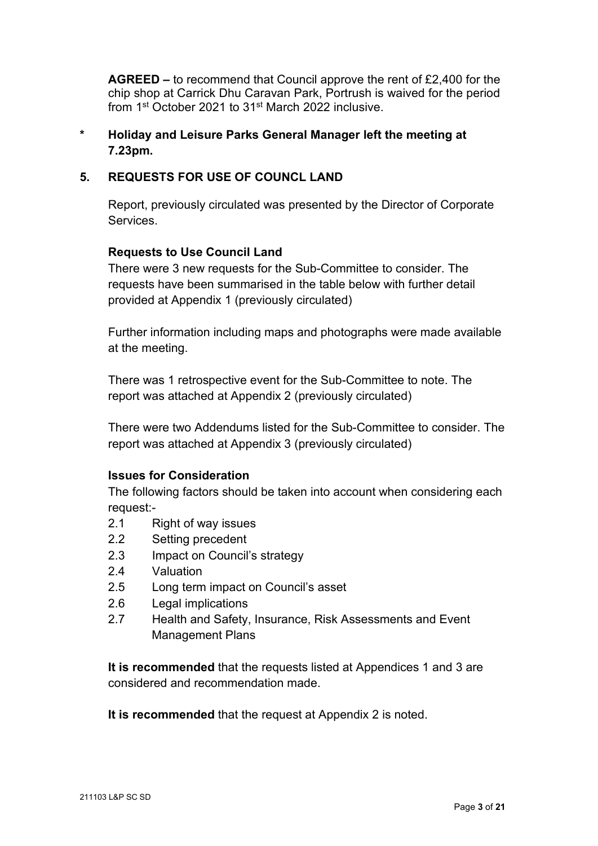**AGREED –** to recommend that Council approve the rent of £2,400 for the chip shop at Carrick Dhu Caravan Park, Portrush is waived for the period from 1st October 2021 to 31st March 2022 inclusive.

## **\* Holiday and Leisure Parks General Manager left the meeting at 7.23pm.**

## **5. REQUESTS FOR USE OF COUNCL LAND**

Report, previously circulated was presented by the Director of Corporate **Services** 

## **Requests to Use Council Land**

There were 3 new requests for the Sub-Committee to consider. The requests have been summarised in the table below with further detail provided at Appendix 1 (previously circulated)

Further information including maps and photographs were made available at the meeting.

There was 1 retrospective event for the Sub-Committee to note. The report was attached at Appendix 2 (previously circulated)

There were two Addendums listed for the Sub-Committee to consider. The report was attached at Appendix 3 (previously circulated)

## **Issues for Consideration**

The following factors should be taken into account when considering each request:-

- 2.1 Right of way issues
- 2.2 Setting precedent
- 2.3 Impact on Council's strategy
- 2.4 Valuation
- 2.5 Long term impact on Council's asset
- 2.6 Legal implications
- 2.7 Health and Safety, Insurance, Risk Assessments and Event Management Plans

**It is recommended** that the requests listed at Appendices 1 and 3 are considered and recommendation made.

**It is recommended** that the request at Appendix 2 is noted.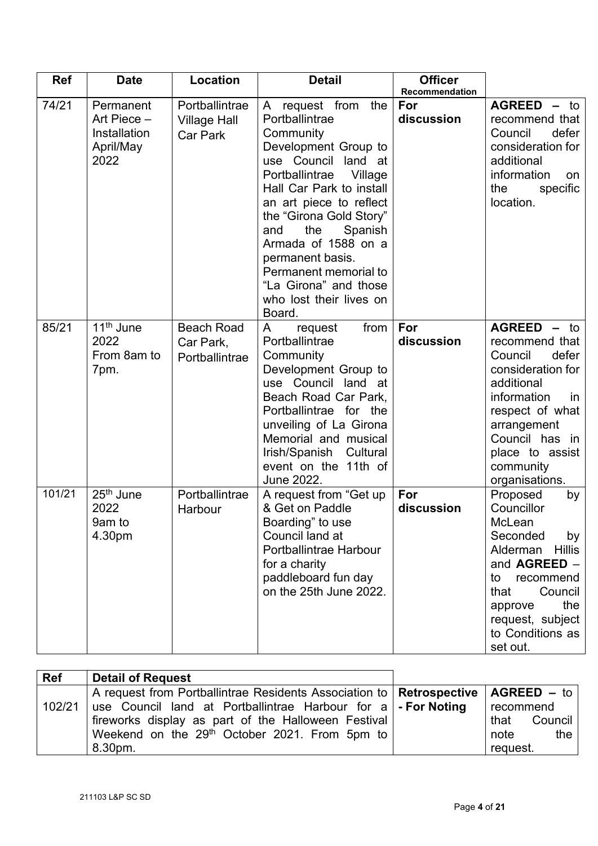| <b>Ref</b> | <b>Date</b>                                                   | Location                                          | <b>Detail</b>                                                                                                                                                                                                                                                                                                                                                              | <b>Officer</b><br>Recommendation |                                                                                                                                                                                                                        |
|------------|---------------------------------------------------------------|---------------------------------------------------|----------------------------------------------------------------------------------------------------------------------------------------------------------------------------------------------------------------------------------------------------------------------------------------------------------------------------------------------------------------------------|----------------------------------|------------------------------------------------------------------------------------------------------------------------------------------------------------------------------------------------------------------------|
| 74/21      | Permanent<br>Art Piece -<br>Installation<br>April/May<br>2022 | Portballintrae<br><b>Village Hall</b><br>Car Park | A request from the<br>Portballintrae<br>Community<br>Development Group to<br>use Council land at<br>Portballintrae<br>Village<br>Hall Car Park to install<br>an art piece to reflect<br>the "Girona Gold Story"<br>Spanish<br>the<br>and<br>Armada of 1588 on a<br>permanent basis.<br>Permanent memorial to<br>"La Girona" and those<br>who lost their lives on<br>Board. | For<br>discussion                | <b>AGREED - to</b><br>recommend that<br>Council<br>defer<br>consideration for<br>additional<br>information<br>on<br>the<br>specific<br>location.                                                                       |
| 85/21      | 11 <sup>th</sup> June<br>2022<br>From 8am to<br>7pm.          | <b>Beach Road</b><br>Car Park,<br>Portballintrae  | from<br>A<br>request<br>Portballintrae<br>Community<br>Development Group to<br>use Council land at<br>Beach Road Car Park,<br>Portballintrae for the<br>unveiling of La Girona<br>Memorial and musical<br>Irish/Spanish Cultural<br>event on the 11th of<br>June 2022.                                                                                                     | For<br>discussion                | <b>AGREED - to</b><br>recommend that<br>Council<br>defer<br>consideration for<br>additional<br>information<br>in<br>respect of what<br>arrangement<br>Council has in<br>place to assist<br>community<br>organisations. |
| 101/21     | 25 <sup>th</sup> June<br>2022<br>9am to<br>4.30pm             | Portballintrae<br>Harbour                         | A request from "Get up<br>& Get on Paddle<br>Boarding" to use<br>Council land at<br>Portballintrae Harbour<br>for a charity<br>paddleboard fun day<br>on the 25th June 2022.                                                                                                                                                                                               | For<br>discussion                | Proposed<br>by<br>Councillor<br>McLean<br>Seconded<br>by<br><b>Hillis</b><br>Alderman<br>and AGREED -<br>recommend<br>to<br>Council<br>that<br>the<br>approve<br>request, subject<br>to Conditions as<br>set out.      |

| <b>Ref</b> | Detail of Request                                                                      |                 |
|------------|----------------------------------------------------------------------------------------|-----------------|
|            | A request from Portballintrae Residents Association to   Retrospective   AGREED $-$ to |                 |
| 102/21     | use Council land at Portballintrae Harbour for a   - For Noting                        | recommend       |
|            | fireworks display as part of the Halloween Festival                                    | Council<br>that |
|            | Weekend on the 29 <sup>th</sup> October 2021. From 5pm to                              | note<br>the     |
|            | 8.30pm.                                                                                | request.        |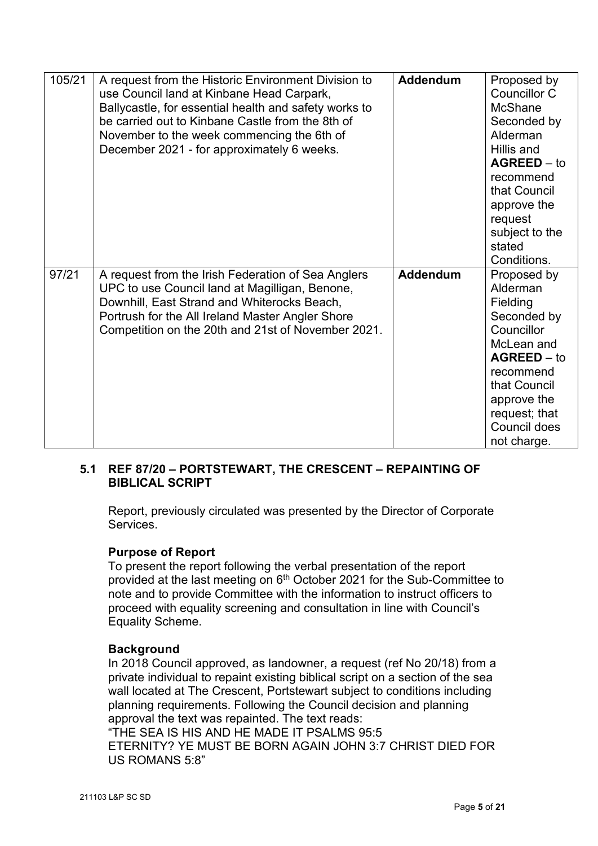| 105/21 | A request from the Historic Environment Division to<br>use Council land at Kinbane Head Carpark,<br>Ballycastle, for essential health and safety works to<br>be carried out to Kinbane Castle from the 8th of<br>November to the week commencing the 6th of<br>December 2021 - for approximately 6 weeks. | <b>Addendum</b> | Proposed by<br>Councillor C<br><b>McShane</b><br>Seconded by<br>Alderman<br>Hillis and<br>$AGREED - to$<br>recommend<br>that Council<br>approve the<br>request<br>subject to the<br>stated<br>Conditions. |
|--------|-----------------------------------------------------------------------------------------------------------------------------------------------------------------------------------------------------------------------------------------------------------------------------------------------------------|-----------------|-----------------------------------------------------------------------------------------------------------------------------------------------------------------------------------------------------------|
| 97/21  | A request from the Irish Federation of Sea Anglers<br>UPC to use Council land at Magilligan, Benone,<br>Downhill, East Strand and Whiterocks Beach,<br>Portrush for the All Ireland Master Angler Shore<br>Competition on the 20th and 21st of November 2021.                                             | <b>Addendum</b> | Proposed by<br>Alderman<br>Fielding<br>Seconded by<br>Councillor<br>McLean and<br>$AGREED - to$<br>recommend<br>that Council<br>approve the<br>request; that<br>Council does<br>not charge.               |

## **5.1 REF 87/20 – PORTSTEWART, THE CRESCENT – REPAINTING OF BIBLICAL SCRIPT**

Report, previously circulated was presented by the Director of Corporate Services.

## **Purpose of Report**

To present the report following the verbal presentation of the report provided at the last meeting on 6<sup>th</sup> October 2021 for the Sub-Committee to note and to provide Committee with the information to instruct officers to proceed with equality screening and consultation in line with Council's Equality Scheme.

## **Background**

In 2018 Council approved, as landowner, a request (ref No 20/18) from a private individual to repaint existing biblical script on a section of the sea wall located at The Crescent, Portstewart subject to conditions including planning requirements. Following the Council decision and planning approval the text was repainted. The text reads: "THE SEA IS HIS AND HE MADE IT PSALMS 95:5

ETERNITY? YE MUST BE BORN AGAIN JOHN 3:7 CHRIST DIED FOR US ROMANS 5:8"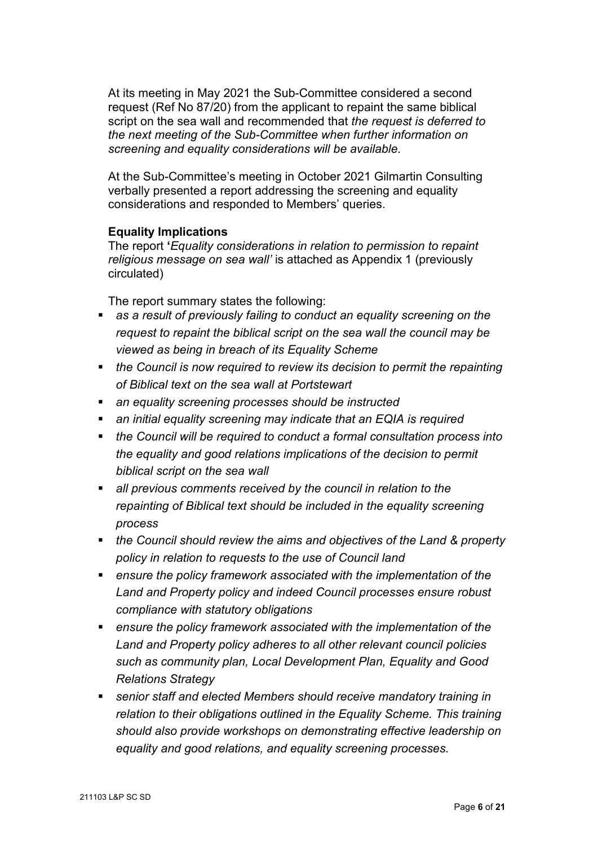At its meeting in May 2021 the Sub-Committee considered a second request (Ref No 87/20) from the applicant to repaint the same biblical script on the sea wall and recommended that *the request is deferred to the next meeting of the Sub-Committee when further information on screening and equality considerations will be available.*

At the Sub-Committee's meeting in October 2021 Gilmartin Consulting verbally presented a report addressing the screening and equality considerations and responded to Members' queries.

#### **Equality Implications**

The report **'***Equality considerations in relation to permission to repaint religious message on sea wall'* is attached as Appendix 1 (previously circulated)

The report summary states the following:

- *as a result of previously failing to conduct an equality screening on the request to repaint the biblical script on the sea wall the council may be viewed as being in breach of its Equality Scheme*
- *the Council is now required to review its decision to permit the repainting of Biblical text on the sea wall at Portstewart*
- *an equality screening processes should be instructed*
- *an initial equality screening may indicate that an EQIA is required*
- *the Council will be required to conduct a formal consultation process into the equality and good relations implications of the decision to permit biblical script on the sea wall*
- *all previous comments received by the council in relation to the repainting of Biblical text should be included in the equality screening process*
- *the Council should review the aims and objectives of the Land & property policy in relation to requests to the use of Council land*
- *ensure the policy framework associated with the implementation of the Land and Property policy and indeed Council processes ensure robust compliance with statutory obligations*
- *ensure the policy framework associated with the implementation of the Land and Property policy adheres to all other relevant council policies such as community plan, Local Development Plan, Equality and Good Relations Strategy*
- *senior staff and elected Members should receive mandatory training in relation to their obligations outlined in the Equality Scheme. This training should also provide workshops on demonstrating effective leadership on equality and good relations, and equality screening processes.*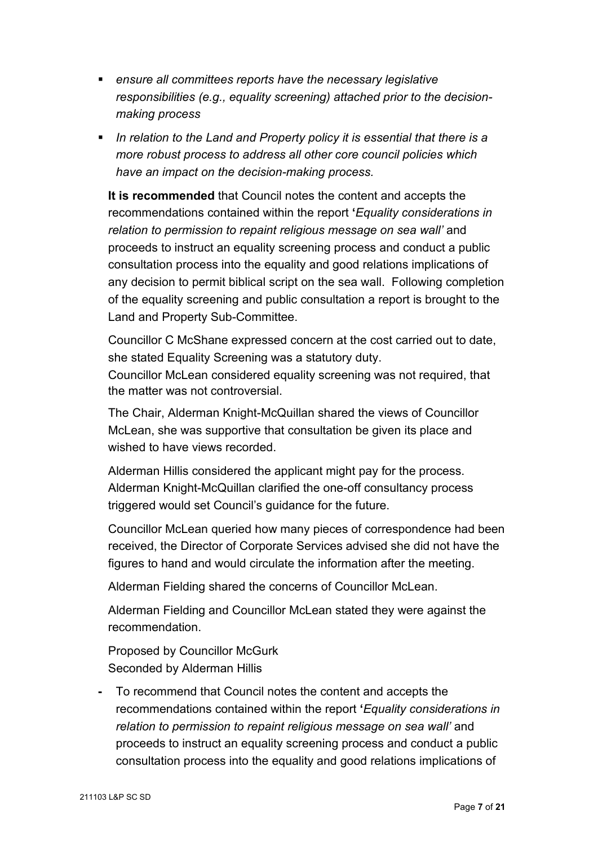- *ensure all committees reports have the necessary legislative responsibilities (e.g., equality screening) attached prior to the decisionmaking process*
- *In relation to the Land and Property policy it is essential that there is a more robust process to address all other core council policies which have an impact on the decision-making process.*

**It is recommended** that Council notes the content and accepts the recommendations contained within the report **'***Equality considerations in relation to permission to repaint religious message on sea wall'* and proceeds to instruct an equality screening process and conduct a public consultation process into the equality and good relations implications of any decision to permit biblical script on the sea wall. Following completion of the equality screening and public consultation a report is brought to the Land and Property Sub-Committee.

Councillor C McShane expressed concern at the cost carried out to date, she stated Equality Screening was a statutory duty. Councillor McLean considered equality screening was not required, that

the matter was not controversial.

The Chair, Alderman Knight-McQuillan shared the views of Councillor McLean, she was supportive that consultation be given its place and wished to have views recorded.

Alderman Hillis considered the applicant might pay for the process. Alderman Knight-McQuillan clarified the one-off consultancy process triggered would set Council's guidance for the future.

Councillor McLean queried how many pieces of correspondence had been received, the Director of Corporate Services advised she did not have the figures to hand and would circulate the information after the meeting.

Alderman Fielding shared the concerns of Councillor McLean.

Alderman Fielding and Councillor McLean stated they were against the recommendation.

Proposed by Councillor McGurk Seconded by Alderman Hillis

**-** To recommend that Council notes the content and accepts the recommendations contained within the report **'***Equality considerations in relation to permission to repaint religious message on sea wall'* and proceeds to instruct an equality screening process and conduct a public consultation process into the equality and good relations implications of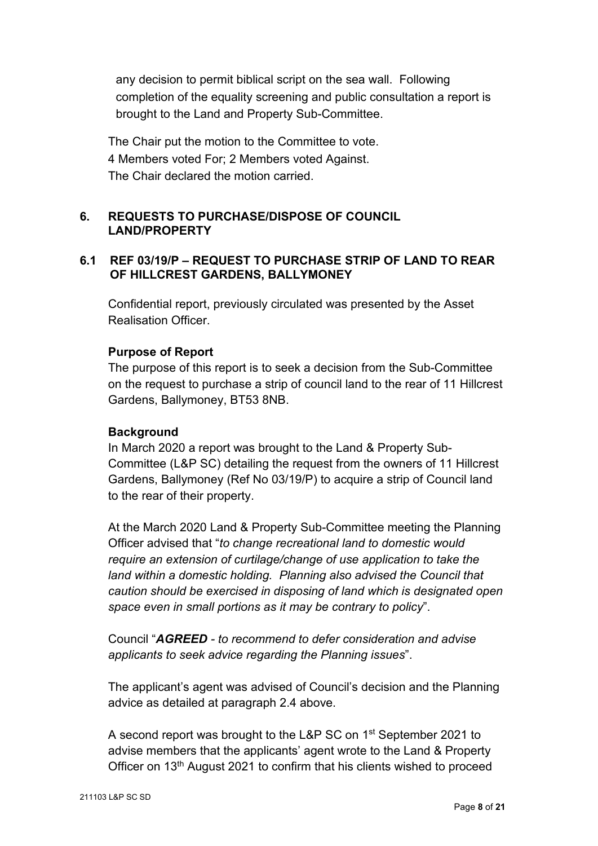any decision to permit biblical script on the sea wall. Following completion of the equality screening and public consultation a report is brought to the Land and Property Sub-Committee.

The Chair put the motion to the Committee to vote. 4 Members voted For; 2 Members voted Against. The Chair declared the motion carried.

## **6. REQUESTS TO PURCHASE/DISPOSE OF COUNCIL LAND/PROPERTY**

## **6.1 REF 03/19/P – REQUEST TO PURCHASE STRIP OF LAND TO REAR OF HILLCREST GARDENS, BALLYMONEY**

Confidential report, previously circulated was presented by the Asset Realisation Officer.

## **Purpose of Report**

The purpose of this report is to seek a decision from the Sub-Committee on the request to purchase a strip of council land to the rear of 11 Hillcrest Gardens, Ballymoney, BT53 8NB.

## **Background**

In March 2020 a report was brought to the Land & Property Sub-Committee (L&P SC) detailing the request from the owners of 11 Hillcrest Gardens, Ballymoney (Ref No 03/19/P) to acquire a strip of Council land to the rear of their property.

At the March 2020 Land & Property Sub-Committee meeting the Planning Officer advised that "*to change recreational land to domestic would require an extension of curtilage/change of use application to take the land within a domestic holding. Planning also advised the Council that caution should be exercised in disposing of land which is designated open space even in small portions as it may be contrary to policy*".

Council "*AGREED - to recommend to defer consideration and advise applicants to seek advice regarding the Planning issues*".

The applicant's agent was advised of Council's decision and the Planning advice as detailed at paragraph 2.4 above.

A second report was brought to the L&P SC on 1<sup>st</sup> September 2021 to advise members that the applicants' agent wrote to the Land & Property Officer on 13th August 2021 to confirm that his clients wished to proceed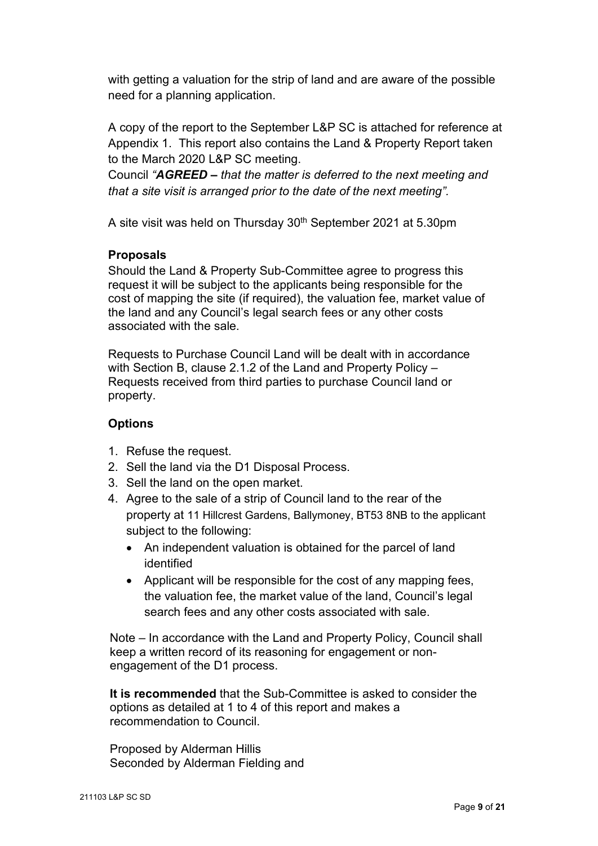with getting a valuation for the strip of land and are aware of the possible need for a planning application.

A copy of the report to the September L&P SC is attached for reference at Appendix 1. This report also contains the Land & Property Report taken to the March 2020 L&P SC meeting.

Council *"AGREED – that the matter is deferred to the next meeting and that a site visit is arranged prior to the date of the next meeting".*

A site visit was held on Thursday 30th September 2021 at 5.30pm

## **Proposals**

Should the Land & Property Sub-Committee agree to progress this request it will be subject to the applicants being responsible for the cost of mapping the site (if required), the valuation fee, market value of the land and any Council's legal search fees or any other costs associated with the sale.

Requests to Purchase Council Land will be dealt with in accordance with Section B, clause 2.1.2 of the Land and Property Policy – Requests received from third parties to purchase Council land or property.

## **Options**

- 1. Refuse the request.
- 2. Sell the land via the D1 Disposal Process.
- 3. Sell the land on the open market.
- 4. Agree to the sale of a strip of Council land to the rear of the property at 11 Hillcrest Gardens, Ballymoney, BT53 8NB to the applicant subject to the following:
	- An independent valuation is obtained for the parcel of land identified
	- Applicant will be responsible for the cost of any mapping fees, the valuation fee, the market value of the land, Council's legal search fees and any other costs associated with sale.

Note – In accordance with the Land and Property Policy, Council shall keep a written record of its reasoning for engagement or nonengagement of the D1 process.

**It is recommended** that the Sub-Committee is asked to consider the options as detailed at 1 to 4 of this report and makes a recommendation to Council.

Proposed by Alderman Hillis Seconded by Alderman Fielding and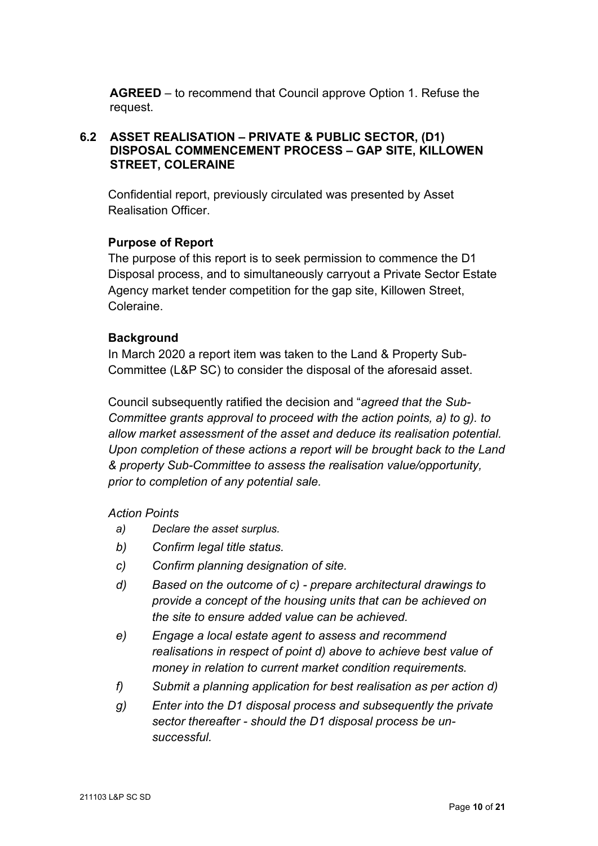**AGREED** – to recommend that Council approve Option 1. Refuse the request.

## **6.2 ASSET REALISATION – PRIVATE & PUBLIC SECTOR, (D1) DISPOSAL COMMENCEMENT PROCESS – GAP SITE, KILLOWEN STREET, COLERAINE**

Confidential report, previously circulated was presented by Asset Realisation Officer.

## **Purpose of Report**

The purpose of this report is to seek permission to commence the D1 Disposal process, and to simultaneously carryout a Private Sector Estate Agency market tender competition for the gap site, Killowen Street, Coleraine.

## **Background**

In March 2020 a report item was taken to the Land & Property Sub-Committee (L&P SC) to consider the disposal of the aforesaid asset.

Council subsequently ratified the decision and "*agreed that the Sub-Committee grants approval to proceed with the action points, a) to g). to allow market assessment of the asset and deduce its realisation potential. Upon completion of these actions a report will be brought back to the Land & property Sub-Committee to assess the realisation value/opportunity, prior to completion of any potential sale.*

## *Action Points*

- *a) Declare the asset surplus.*
- *b) Confirm legal title status.*
- *c) Confirm planning designation of site.*
- *d) Based on the outcome of c) prepare architectural drawings to provide a concept of the housing units that can be achieved on the site to ensure added value can be achieved.*
- *e) Engage a local estate agent to assess and recommend realisations in respect of point d) above to achieve best value of money in relation to current market condition requirements.*
- *f) Submit a planning application for best realisation as per action d)*
- *g) Enter into the D1 disposal process and subsequently the private sector thereafter - should the D1 disposal process be unsuccessful.*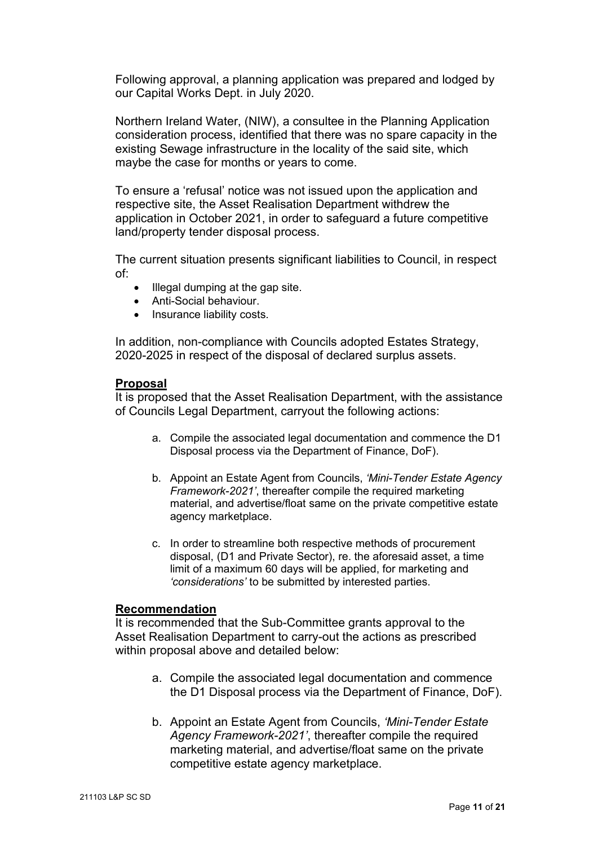Following approval, a planning application was prepared and lodged by our Capital Works Dept. in July 2020.

Northern Ireland Water, (NIW), a consultee in the Planning Application consideration process, identified that there was no spare capacity in the existing Sewage infrastructure in the locality of the said site, which maybe the case for months or years to come.

To ensure a 'refusal' notice was not issued upon the application and respective site, the Asset Realisation Department withdrew the application in October 2021, in order to safeguard a future competitive land/property tender disposal process.

The current situation presents significant liabilities to Council, in respect of:

- Illegal dumping at the gap site.
- Anti-Social behaviour.
- Insurance liability costs.

In addition, non-compliance with Councils adopted Estates Strategy, 2020-2025 in respect of the disposal of declared surplus assets.

#### **Proposal**

It is proposed that the Asset Realisation Department, with the assistance of Councils Legal Department, carryout the following actions:

- a. Compile the associated legal documentation and commence the D1 Disposal process via the Department of Finance, DoF).
- b. Appoint an Estate Agent from Councils, *'Mini-Tender Estate Agency Framework-2021'*, thereafter compile the required marketing material, and advertise/float same on the private competitive estate agency marketplace.
- c. In order to streamline both respective methods of procurement disposal, (D1 and Private Sector), re. the aforesaid asset, a time limit of a maximum 60 days will be applied, for marketing and *'considerations'* to be submitted by interested parties.

#### **Recommendation**

It is recommended that the Sub-Committee grants approval to the Asset Realisation Department to carry-out the actions as prescribed within proposal above and detailed below:

- a. Compile the associated legal documentation and commence the D1 Disposal process via the Department of Finance, DoF).
- b. Appoint an Estate Agent from Councils, *'Mini-Tender Estate Agency Framework-2021'*, thereafter compile the required marketing material, and advertise/float same on the private competitive estate agency marketplace.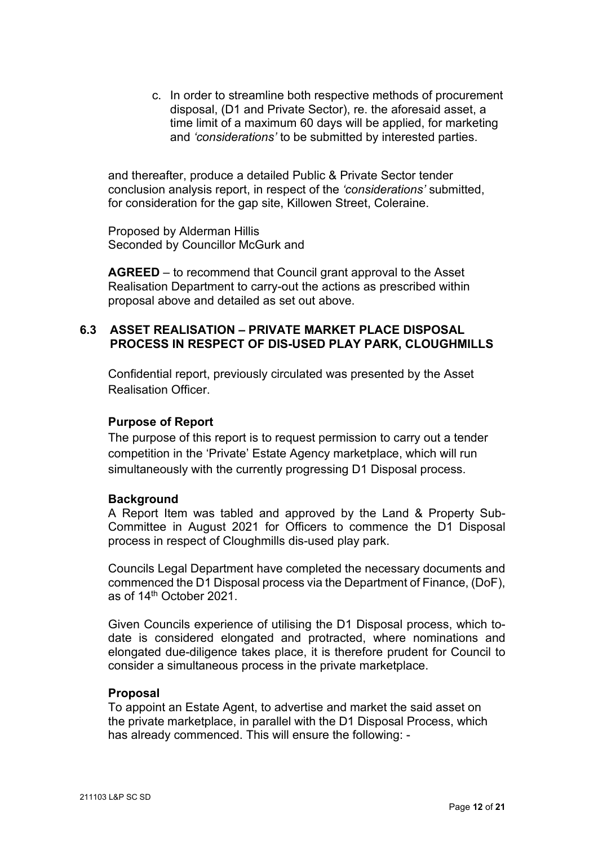c. In order to streamline both respective methods of procurement disposal, (D1 and Private Sector), re. the aforesaid asset, a time limit of a maximum 60 days will be applied, for marketing and *'considerations'* to be submitted by interested parties.

and thereafter, produce a detailed Public & Private Sector tender conclusion analysis report, in respect of the *'considerations'* submitted, for consideration for the gap site, Killowen Street, Coleraine.

Proposed by Alderman Hillis Seconded by Councillor McGurk and

**AGREED** – to recommend that Council grant approval to the Asset Realisation Department to carry-out the actions as prescribed within proposal above and detailed as set out above.

#### **6.3 ASSET REALISATION – PRIVATE MARKET PLACE DISPOSAL PROCESS IN RESPECT OF DIS-USED PLAY PARK, CLOUGHMILLS**

Confidential report, previously circulated was presented by the Asset Realisation Officer.

## **Purpose of Report**

The purpose of this report is to request permission to carry out a tender competition in the 'Private' Estate Agency marketplace, which will run simultaneously with the currently progressing D1 Disposal process.

## **Background**

A Report Item was tabled and approved by the Land & Property Sub-Committee in August 2021 for Officers to commence the D1 Disposal process in respect of Cloughmills dis-used play park.

Councils Legal Department have completed the necessary documents and commenced the D1 Disposal process via the Department of Finance, (DoF), as of 14th October 2021.

Given Councils experience of utilising the D1 Disposal process, which todate is considered elongated and protracted, where nominations and elongated due-diligence takes place, it is therefore prudent for Council to consider a simultaneous process in the private marketplace.

#### **Proposal**

To appoint an Estate Agent, to advertise and market the said asset on the private marketplace, in parallel with the D1 Disposal Process, which has already commenced. This will ensure the following: -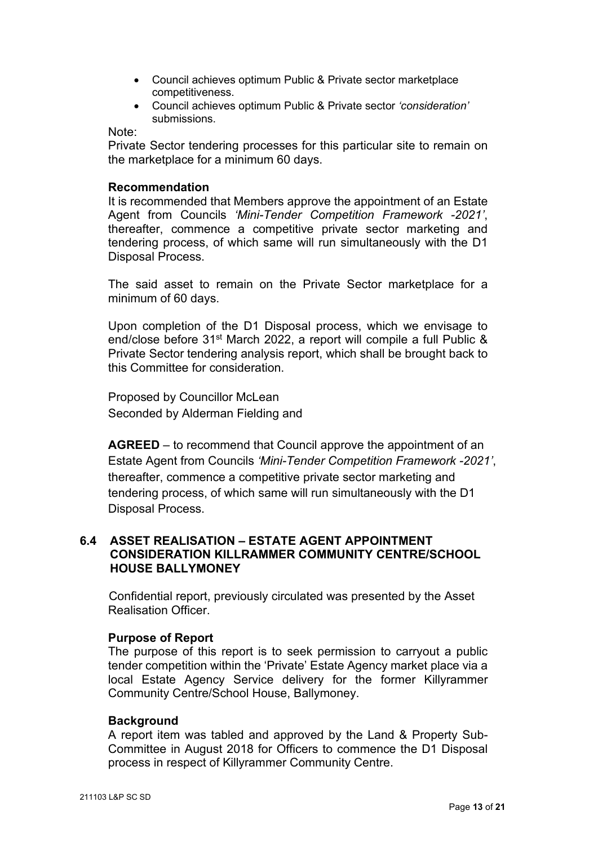- Council achieves optimum Public & Private sector marketplace competitiveness.
- Council achieves optimum Public & Private sector *'consideration'* submissions.

Note:

Private Sector tendering processes for this particular site to remain on the marketplace for a minimum 60 days.

#### **Recommendation**

 It is recommended that Members approve the appointment of an Estate Agent from Councils *'Mini-Tender Competition Framework -2021'*, thereafter, commence a competitive private sector marketing and tendering process, of which same will run simultaneously with the D1 Disposal Process.

The said asset to remain on the Private Sector marketplace for a minimum of 60 days.

Upon completion of the D1 Disposal process, which we envisage to end/close before 31<sup>st</sup> March 2022, a report will compile a full Public & Private Sector tendering analysis report, which shall be brought back to this Committee for consideration.

Proposed by Councillor McLean Seconded by Alderman Fielding and

**AGREED** – to recommend that Council approve the appointment of an Estate Agent from Councils *'Mini-Tender Competition Framework -2021'*, thereafter, commence a competitive private sector marketing and tendering process, of which same will run simultaneously with the D1 Disposal Process.

#### **6.4 ASSET REALISATION – ESTATE AGENT APPOINTMENT CONSIDERATION KILLRAMMER COMMUNITY CENTRE/SCHOOL HOUSE BALLYMONEY**

Confidential report, previously circulated was presented by the Asset Realisation Officer.

#### **Purpose of Report**

The purpose of this report is to seek permission to carryout a public tender competition within the 'Private' Estate Agency market place via a local Estate Agency Service delivery for the former Killyrammer Community Centre/School House, Ballymoney.

#### **Background**

A report item was tabled and approved by the Land & Property Sub-Committee in August 2018 for Officers to commence the D1 Disposal process in respect of Killyrammer Community Centre.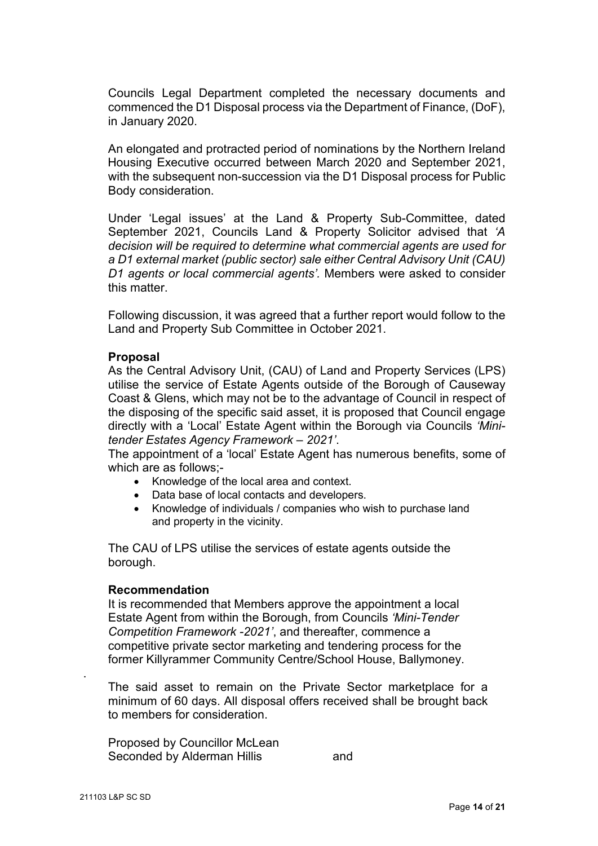Councils Legal Department completed the necessary documents and commenced the D1 Disposal process via the Department of Finance, (DoF), in January 2020.

An elongated and protracted period of nominations by the Northern Ireland Housing Executive occurred between March 2020 and September 2021, with the subsequent non-succession via the D1 Disposal process for Public Body consideration.

Under 'Legal issues' at the Land & Property Sub-Committee, dated September 2021, Councils Land & Property Solicitor advised that *'A decision will be required to determine what commercial agents are used for a D1 external market (public sector) sale either Central Advisory Unit (CAU) D1 agents or local commercial agents'.* Members were asked to consider this matter.

Following discussion, it was agreed that a further report would follow to the Land and Property Sub Committee in October 2021.

#### **Proposal**

As the Central Advisory Unit, (CAU) of Land and Property Services (LPS) utilise the service of Estate Agents outside of the Borough of Causeway Coast & Glens, which may not be to the advantage of Council in respect of the disposing of the specific said asset, it is proposed that Council engage directly with a 'Local' Estate Agent within the Borough via Councils *'Minitender Estates Agency Framework – 2021'*.

The appointment of a 'local' Estate Agent has numerous benefits, some of which are as follows;-

- Knowledge of the local area and context.
- Data base of local contacts and developers.
- Knowledge of individuals / companies who wish to purchase land and property in the vicinity.

The CAU of LPS utilise the services of estate agents outside the borough.

#### **Recommendation**

It is recommended that Members approve the appointment a local Estate Agent from within the Borough, from Councils *'Mini-Tender Competition Framework -2021'*, and thereafter, commence a competitive private sector marketing and tendering process for the former Killyrammer Community Centre/School House, Ballymoney.

The said asset to remain on the Private Sector marketplace for a minimum of 60 days. All disposal offers received shall be brought back to members for consideration.

Proposed by Councillor McLean Seconded by Alderman Hillis and

.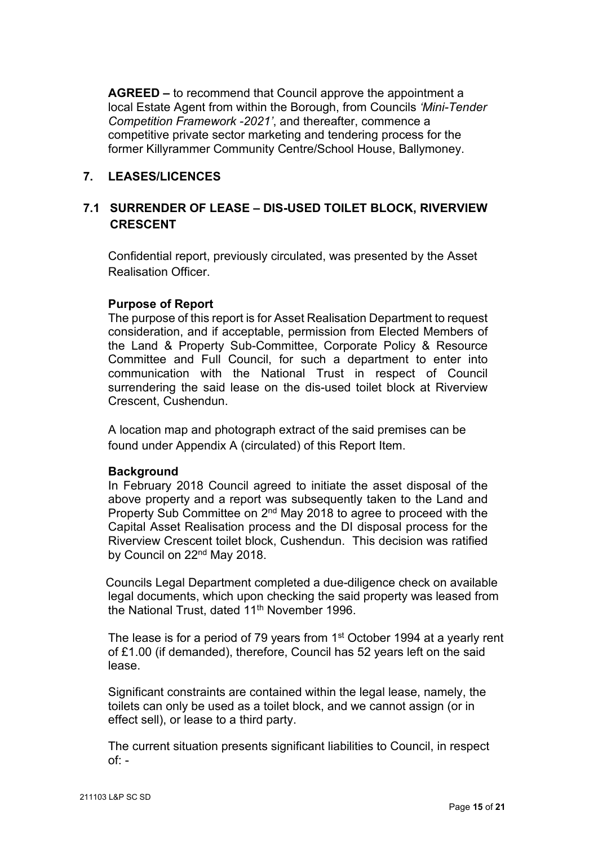**AGREED –** to recommend that Council approve the appointment a local Estate Agent from within the Borough, from Councils *'Mini-Tender Competition Framework -2021'*, and thereafter, commence a competitive private sector marketing and tendering process for the former Killyrammer Community Centre/School House, Ballymoney.

#### **7. LEASES/LICENCES**

## **7.1 SURRENDER OF LEASE – DIS-USED TOILET BLOCK, RIVERVIEW CRESCENT**

Confidential report, previously circulated, was presented by the Asset Realisation Officer.

## **Purpose of Report**

The purpose of this report is for Asset Realisation Department to request consideration, and if acceptable, permission from Elected Members of the Land & Property Sub-Committee, Corporate Policy & Resource Committee and Full Council, for such a department to enter into communication with the National Trust in respect of Council surrendering the said lease on the dis-used toilet block at Riverview Crescent, Cushendun.

A location map and photograph extract of the said premises can be found under Appendix A (circulated) of this Report Item.

#### **Background**

In February 2018 Council agreed to initiate the asset disposal of the above property and a report was subsequently taken to the Land and Property Sub Committee on 2<sup>nd</sup> May 2018 to agree to proceed with the Capital Asset Realisation process and the DI disposal process for the Riverview Crescent toilet block, Cushendun. This decision was ratified by Council on 22<sup>nd</sup> May 2018.

Councils Legal Department completed a due-diligence check on available legal documents, which upon checking the said property was leased from the National Trust, dated 11<sup>th</sup> November 1996.

The lease is for a period of 79 years from 1<sup>st</sup> October 1994 at a yearly rent of £1.00 (if demanded), therefore, Council has 52 years left on the said lease.

Significant constraints are contained within the legal lease, namely, the toilets can only be used as a toilet block, and we cannot assign (or in effect sell), or lease to a third party.

The current situation presents significant liabilities to Council, in respect  $of: -$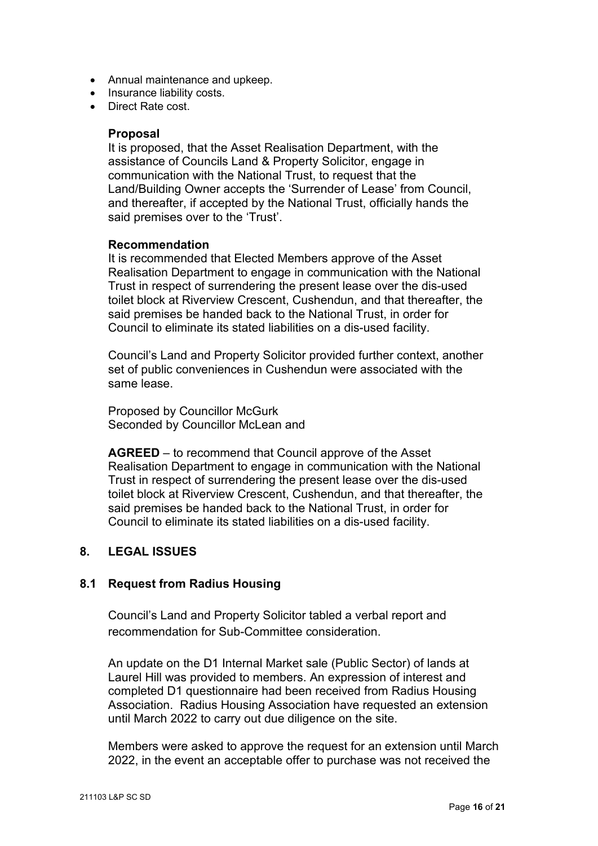- Annual maintenance and upkeep.
- Insurance liability costs.
- Direct Rate cost.

#### **Proposal**

It is proposed, that the Asset Realisation Department, with the assistance of Councils Land & Property Solicitor, engage in communication with the National Trust, to request that the Land/Building Owner accepts the 'Surrender of Lease' from Council, and thereafter, if accepted by the National Trust, officially hands the said premises over to the 'Trust'.

#### **Recommendation**

It is recommended that Elected Members approve of the Asset Realisation Department to engage in communication with the National Trust in respect of surrendering the present lease over the dis-used toilet block at Riverview Crescent, Cushendun, and that thereafter, the said premises be handed back to the National Trust, in order for Council to eliminate its stated liabilities on a dis-used facility.

Council's Land and Property Solicitor provided further context, another set of public conveniences in Cushendun were associated with the same lease.

Proposed by Councillor McGurk Seconded by Councillor McLean and

**AGREED** – to recommend that Council approve of the Asset Realisation Department to engage in communication with the National Trust in respect of surrendering the present lease over the dis-used toilet block at Riverview Crescent, Cushendun, and that thereafter, the said premises be handed back to the National Trust, in order for Council to eliminate its stated liabilities on a dis-used facility.

## **8. LEGAL ISSUES**

#### **8.1 Request from Radius Housing**

Council's Land and Property Solicitor tabled a verbal report and recommendation for Sub-Committee consideration.

An update on the D1 Internal Market sale (Public Sector) of lands at Laurel Hill was provided to members. An expression of interest and completed D1 questionnaire had been received from Radius Housing Association. Radius Housing Association have requested an extension until March 2022 to carry out due diligence on the site.

Members were asked to approve the request for an extension until March 2022, in the event an acceptable offer to purchase was not received the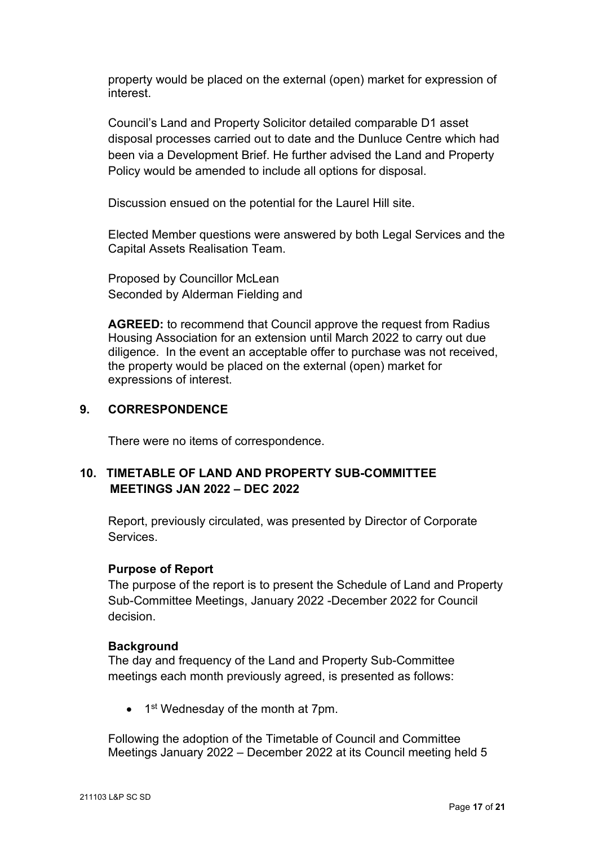property would be placed on the external (open) market for expression of interest.

Council's Land and Property Solicitor detailed comparable D1 asset disposal processes carried out to date and the Dunluce Centre which had been via a Development Brief. He further advised the Land and Property Policy would be amended to include all options for disposal.

Discussion ensued on the potential for the Laurel Hill site.

Elected Member questions were answered by both Legal Services and the Capital Assets Realisation Team.

Proposed by Councillor McLean Seconded by Alderman Fielding and

**AGREED:** to recommend that Council approve the request from Radius Housing Association for an extension until March 2022 to carry out due diligence. In the event an acceptable offer to purchase was not received, the property would be placed on the external (open) market for expressions of interest.

## **9. CORRESPONDENCE**

There were no items of correspondence.

## **10. TIMETABLE OF LAND AND PROPERTY SUB-COMMITTEE MEETINGS JAN 2022 – DEC 2022**

Report, previously circulated, was presented by Director of Corporate Services.

#### **Purpose of Report**

The purpose of the report is to present the Schedule of Land and Property Sub-Committee Meetings, January 2022 -December 2022 for Council decision.

#### **Background**

The day and frequency of the Land and Property Sub-Committee meetings each month previously agreed, is presented as follows:

 $\bullet$  1<sup>st</sup> Wednesday of the month at 7pm.

Following the adoption of the Timetable of Council and Committee Meetings January 2022 – December 2022 at its Council meeting held 5